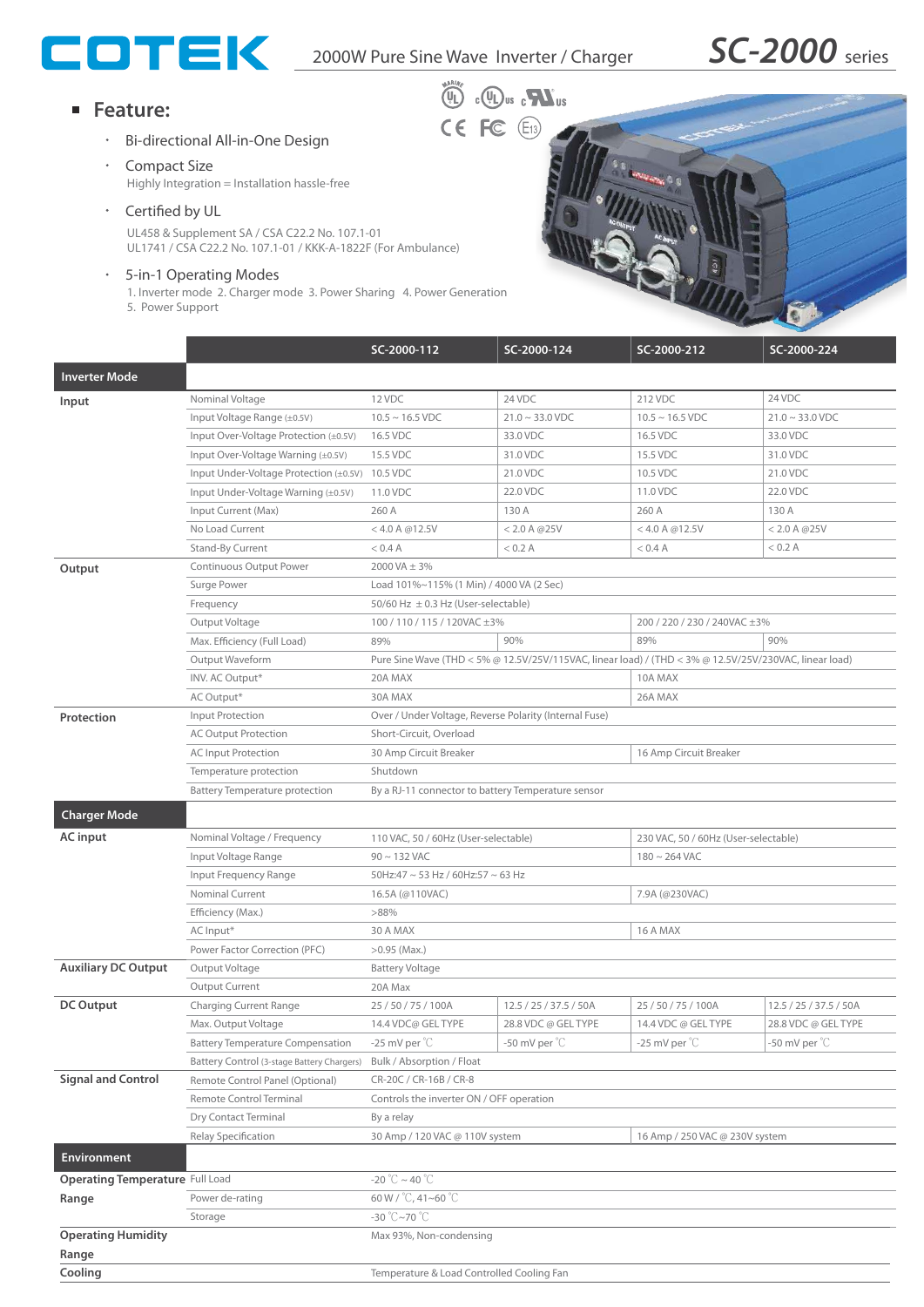

## **Feature:**

- Bi-directional All-in-One Design
- **Compact Size** Highly Integration = Installation hassle-free
- Certified by UL

UL458 & Supplement SA / CSA C22.2 No. 107.1-01 UL1741 / CSA C22.2 No. 107.1-01 / KKK-A-1822F (For Ambulance)

5-in-1 Operating Modes

1. Inverter mode 2. Charger mode 3. Power Sharing 4. Power Generation 5. Power Support



|                                        |                                                                   | SC-2000-112                                                                  | SC-2000-124            | SC-2000-212                                                                                            | SC-2000-224                                            |  |
|----------------------------------------|-------------------------------------------------------------------|------------------------------------------------------------------------------|------------------------|--------------------------------------------------------------------------------------------------------|--------------------------------------------------------|--|
| <b>Inverter Mode</b>                   |                                                                   |                                                                              |                        |                                                                                                        |                                                        |  |
| Input                                  | Nominal Voltage                                                   | 12 VDC                                                                       | 24 VDC                 | 212 VDC                                                                                                | 24 VDC                                                 |  |
|                                        | Input Voltage Range (±0.5V)                                       | $10.5 \sim 16.5$ VDC                                                         | $21.0 \sim 33.0$ VDC   | $10.5 \sim 16.5$ VDC                                                                                   | $21.0 \sim 33.0$ VDC                                   |  |
|                                        | Input Over-Voltage Protection (±0.5V)                             | 16.5 VDC                                                                     | 33.0 VDC               | 16.5 VDC                                                                                               | 33.0 VDC                                               |  |
|                                        | Input Over-Voltage Warning (±0.5V)                                | 15.5 VDC                                                                     | 31.0 VDC               | 15.5 VDC                                                                                               | 31.0 VDC                                               |  |
|                                        | Input Under-Voltage Protection (±0.5V) 10.5 VDC                   |                                                                              | 21.0 VDC               | 10.5 VDC                                                                                               | 21.0 VDC                                               |  |
|                                        | Input Under-Voltage Warning (±0.5V)                               | 11.0 VDC                                                                     | 22.0 VDC               | 11.0 VDC                                                                                               | 22.0 VDC                                               |  |
|                                        | Input Current (Max)                                               | 260 A                                                                        | 130 A                  | 260 A                                                                                                  | 130 A                                                  |  |
|                                        | No Load Current                                                   | $<$ 4.0 A @12.5V                                                             | < 2.0 A @ 25V          | $<$ 4.0 A @12.5V                                                                                       | < 2.0 A @ 25V                                          |  |
|                                        | <b>Stand-By Current</b>                                           | $<$ 0.4 A                                                                    | < 0.2 A                | $<$ 0.4 A                                                                                              | < 0.2 A                                                |  |
| Output                                 | Continuous Output Power                                           | 2000 VA ± 3%                                                                 |                        |                                                                                                        |                                                        |  |
|                                        | Surge Power                                                       | Load 101%~115% (1 Min) / 4000 VA (2 Sec)                                     |                        |                                                                                                        |                                                        |  |
|                                        | Frequency                                                         | 50/60 Hz $\pm$ 0.3 Hz (User-selectable)                                      |                        |                                                                                                        |                                                        |  |
|                                        | Output Voltage                                                    | 100 / 110 / 115 / 120VAC ±3%                                                 |                        | 200 / 220 / 230 / 240VAC ±3%                                                                           |                                                        |  |
|                                        | Max. Efficiency (Full Load)                                       | 89%                                                                          | 90%                    | 89%                                                                                                    | 90%                                                    |  |
|                                        | Output Waveform                                                   |                                                                              |                        | Pure Sine Wave (THD < 5% @ 12.5V/25V/115VAC, linear load) / (THD < 3% @ 12.5V/25V/230VAC, linear load) |                                                        |  |
|                                        | INV. AC Output*                                                   | 20A MAX                                                                      |                        | 10A MAX                                                                                                |                                                        |  |
|                                        | AC Output*                                                        | 30A MAX                                                                      |                        | 26A MAX                                                                                                |                                                        |  |
| Protection                             | Input Protection                                                  | Over / Under Voltage, Reverse Polarity (Internal Fuse)                       |                        |                                                                                                        |                                                        |  |
|                                        | <b>AC Output Protection</b>                                       | Short-Circuit, Overload                                                      |                        |                                                                                                        |                                                        |  |
|                                        | <b>AC Input Protection</b>                                        | 30 Amp Circuit Breaker<br>16 Amp Circuit Breaker                             |                        |                                                                                                        |                                                        |  |
|                                        | Temperature protection                                            | Shutdown                                                                     |                        |                                                                                                        |                                                        |  |
|                                        | <b>Battery Temperature protection</b>                             | By a RJ-11 connector to battery Temperature sensor                           |                        |                                                                                                        |                                                        |  |
| <b>Charger Mode</b>                    |                                                                   |                                                                              |                        |                                                                                                        |                                                        |  |
|                                        |                                                                   | 230 VAC, 50 / 60Hz (User-selectable)<br>110 VAC, 50 / 60Hz (User-selectable) |                        |                                                                                                        |                                                        |  |
| <b>AC</b> input                        | Nominal Voltage / Frequency                                       |                                                                              |                        |                                                                                                        |                                                        |  |
|                                        | Input Voltage Range                                               | $90 \sim 132$ VAC                                                            |                        | $180 \sim 264$ VAC                                                                                     |                                                        |  |
|                                        | Input Frequency Range<br><b>Nominal Current</b>                   | 50Hz:47 ~ 53 Hz / 60Hz:57 ~ 63 Hz                                            |                        |                                                                                                        |                                                        |  |
|                                        |                                                                   | 16.5A (@110VAC)<br>>88%                                                      |                        | 7.9A (@230VAC)                                                                                         |                                                        |  |
|                                        | Efficiency (Max.)                                                 | 30 A MAX<br>16 A MAX                                                         |                        |                                                                                                        |                                                        |  |
|                                        | AC Input*                                                         | $>0.95$ (Max.)                                                               |                        |                                                                                                        |                                                        |  |
| <b>Auxiliary DC Output</b>             | Power Factor Correction (PFC)<br>Output Voltage                   |                                                                              |                        |                                                                                                        |                                                        |  |
|                                        |                                                                   | <b>Battery Voltage</b><br>20A Max                                            |                        |                                                                                                        |                                                        |  |
| <b>DC Output</b>                       | Output Current                                                    |                                                                              |                        |                                                                                                        |                                                        |  |
|                                        | <b>Charging Current Range</b><br>Max. Output Voltage              | 25 / 50 / 75 / 100A                                                          | 12.5 / 25 / 37.5 / 50A | 25/50/75/100A                                                                                          | 12.5 / 25 / 37.5 / 50A                                 |  |
|                                        | <b>Battery Temperature Compensation</b>                           | 14.4 VDC@ GEL TYPE                                                           | 28.8 VDC @ GEL TYPE    | 14.4 VDC @ GEL TYPE                                                                                    | 28.8 VDC @ GEL TYPE<br>-50 mV per $^{\circ}\mathrm{C}$ |  |
|                                        |                                                                   | $-25$ mV per $°C$                                                            | -50 mV per $°C$        | -25 mV per $°C$                                                                                        |                                                        |  |
| <b>Signal and Control</b>              | Battery Control (3-stage Battery Chargers)                        | Bulk / Absorption / Float                                                    |                        |                                                                                                        |                                                        |  |
|                                        | Remote Control Panel (Optional)<br><b>Remote Control Terminal</b> | CR-20C / CR-16B / CR-8                                                       |                        |                                                                                                        |                                                        |  |
|                                        |                                                                   | Controls the inverter ON / OFF operation                                     |                        |                                                                                                        |                                                        |  |
|                                        | Dry Contact Terminal                                              | By a relay                                                                   |                        | 16 Amp / 250 VAC @ 230V system                                                                         |                                                        |  |
| Environment                            | Relay Specification                                               | 30 Amp / 120 VAC @ 110V system                                               |                        |                                                                                                        |                                                        |  |
| <b>Operating Temperature Full Load</b> |                                                                   | -20 °C ~ 40 °C                                                               |                        |                                                                                                        |                                                        |  |
| Range                                  | Power de-rating                                                   | 60 W / °C, 41~60 °C                                                          |                        |                                                                                                        |                                                        |  |
|                                        | Storage                                                           | -30 $\degree$ C~70 $\degree$ C                                               |                        |                                                                                                        |                                                        |  |
| <b>Operating Humidity</b>              |                                                                   | Max 93%, Non-condensing                                                      |                        |                                                                                                        |                                                        |  |
| Range                                  |                                                                   |                                                                              |                        |                                                                                                        |                                                        |  |
| Cooling                                |                                                                   | Temperature & Load Controlled Cooling Fan                                    |                        |                                                                                                        |                                                        |  |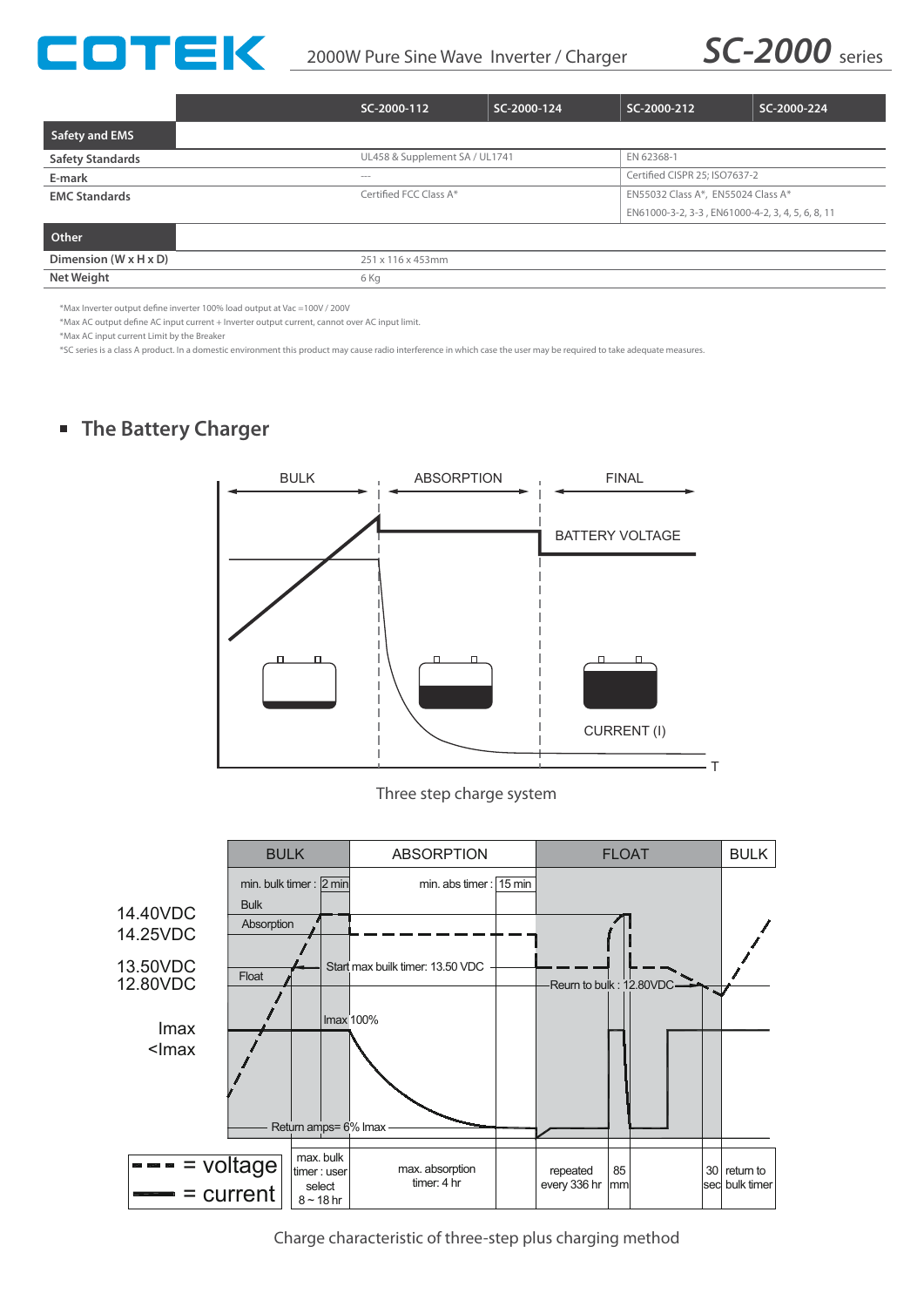



|                                   | SC-2000-112                                  | SC-2000-124 | SC-2000-212                                      | SC-2000-224 |
|-----------------------------------|----------------------------------------------|-------------|--------------------------------------------------|-------------|
| Safety and EMS                    |                                              |             |                                                  |             |
| <b>Safety Standards</b>           | UL458 & Supplement SA / UL1741<br>EN 62368-1 |             |                                                  |             |
| E-mark                            | <b>STATISTICS</b>                            |             | Certified CISPR 25: ISO7637-2                    |             |
| <b>EMC Standards</b>              | Certified FCC Class A*                       |             | EN55032 Class A*, EN55024 Class A*               |             |
|                                   |                                              |             | EN61000-3-2, 3-3, EN61000-4-2, 3, 4, 5, 6, 8, 11 |             |
| Other                             |                                              |             |                                                  |             |
| Dimension $(W \times H \times D)$ | 251 x 116 x 453mm                            |             |                                                  |             |
| <b>Net Weight</b>                 | 6 Kg                                         |             |                                                  |             |

\*Max Inverter output define inverter 100% load output at Vac =100V / 200V

\*Max AC output define AC input current + Inverter output current, cannot over AC input limit.

\*Max AC input current Limit by the Breaker

\*SC series is a class A product. In a domestic environment this product may cause radio interference in which case the user may be required to take adequate measures.

# **The Battery Charger**



Three step charge system



Charge characteristic of three-step plus charging method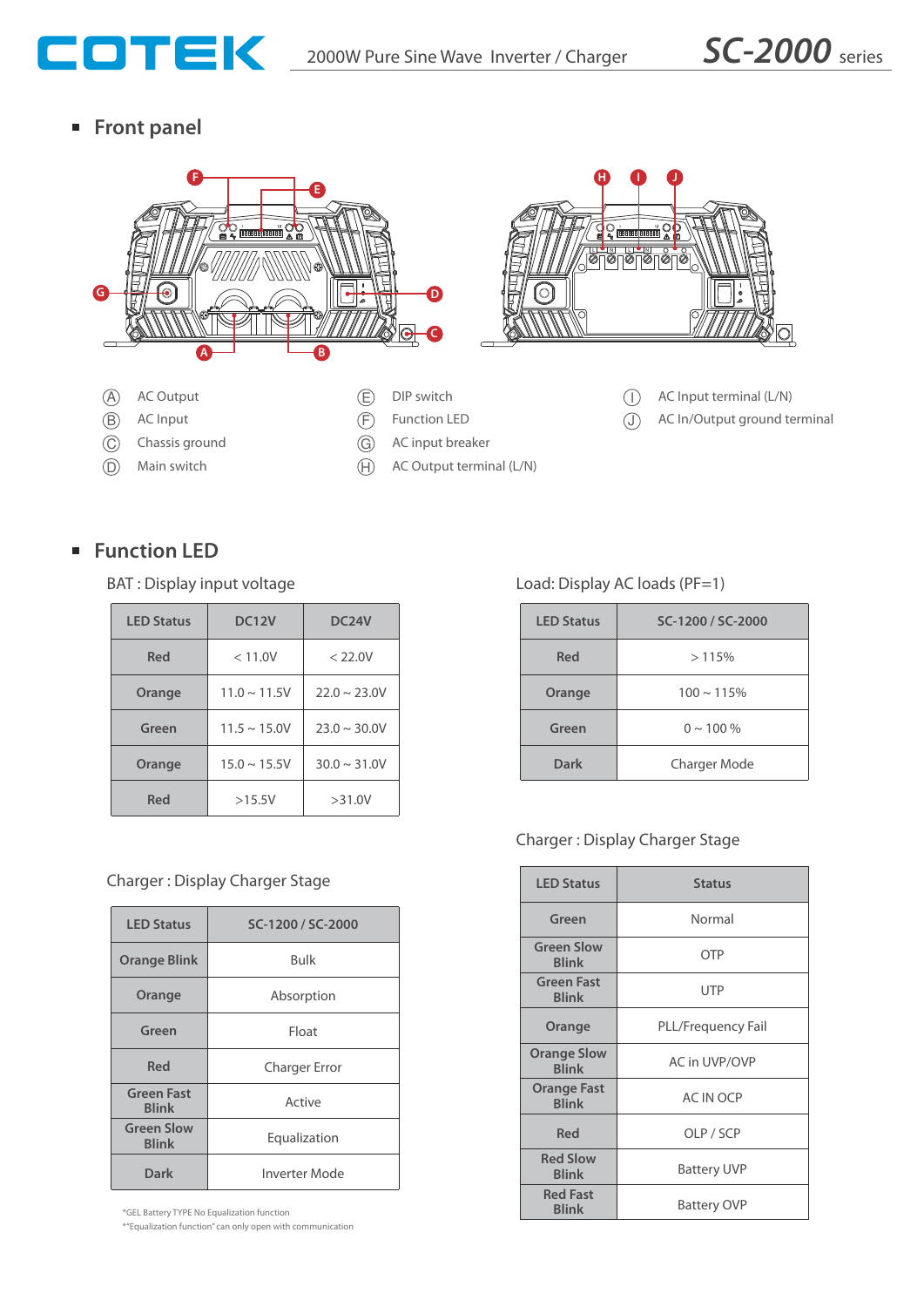

**Front panel**



# ■ Function LED

BAT : Display input voltage

| <b>LED Status</b> | <b>DC12V</b>      | DC <sub>24</sub> V |  |
|-------------------|-------------------|--------------------|--|
| Red               | < 11.0V           | < 22.0V            |  |
| Orange            | $11.0 \sim 11.5V$ | $22.0 \sim 23.0V$  |  |
| Green             | $11.5 \sim 15.0V$ | $23.0 \sim 30.0 V$ |  |
| Orange            | $15.0 \sim 15.5V$ | $30.0 \sim 31.0 V$ |  |
| Red               | >15.5V            | >31.0V             |  |

## Charger : Display Charger Stage

| <b>LED Status</b>                 | SC-1200 / SC-2000    |  |
|-----------------------------------|----------------------|--|
| <b>Orange Blink</b>               | Bulk                 |  |
| Orange                            | Absorption           |  |
| Green                             | Float                |  |
| Red                               | <b>Charger Error</b> |  |
| <b>Green Fast</b><br><b>Blink</b> | Active               |  |
| <b>Green Slow</b><br><b>Blink</b> | Equalization         |  |
| Dark                              | Inverter Mode        |  |

\*GEL Battery TYPE No Equalization function **Blink**

\*"Equalization function" can only open with communication

Load: Display AC loads (PF=1)

| <b>LED Status</b> | SC-1200 / SC-2000   |  |
|-------------------|---------------------|--|
| Red               | >115%               |  |
| Orange            | $100 \sim 115\%$    |  |
| Green             | $0 \sim 100 \%$     |  |
| Dark              | <b>Charger Mode</b> |  |

## Charger : Display Charger Stage

| <b>LED Status</b>                  | <b>Status</b>      |  |
|------------------------------------|--------------------|--|
| Green                              | Normal             |  |
| <b>Green Slow</b><br><b>Blink</b>  | <b>OTP</b>         |  |
| <b>Green Fast</b><br><b>Blink</b>  | <b>UTP</b>         |  |
| Orange                             | PLL/Frequency Fail |  |
| <b>Orange Slow</b><br><b>Blink</b> | AC in UVP/OVP      |  |
| <b>Orange Fast</b><br><b>Blink</b> | <b>AC IN OCP</b>   |  |
| Red                                | OLP / SCP          |  |
| <b>Red Slow</b><br><b>Blink</b>    | <b>Battery UVP</b> |  |
| <b>Red Fast</b><br><b>Blink</b>    | Battery OVP        |  |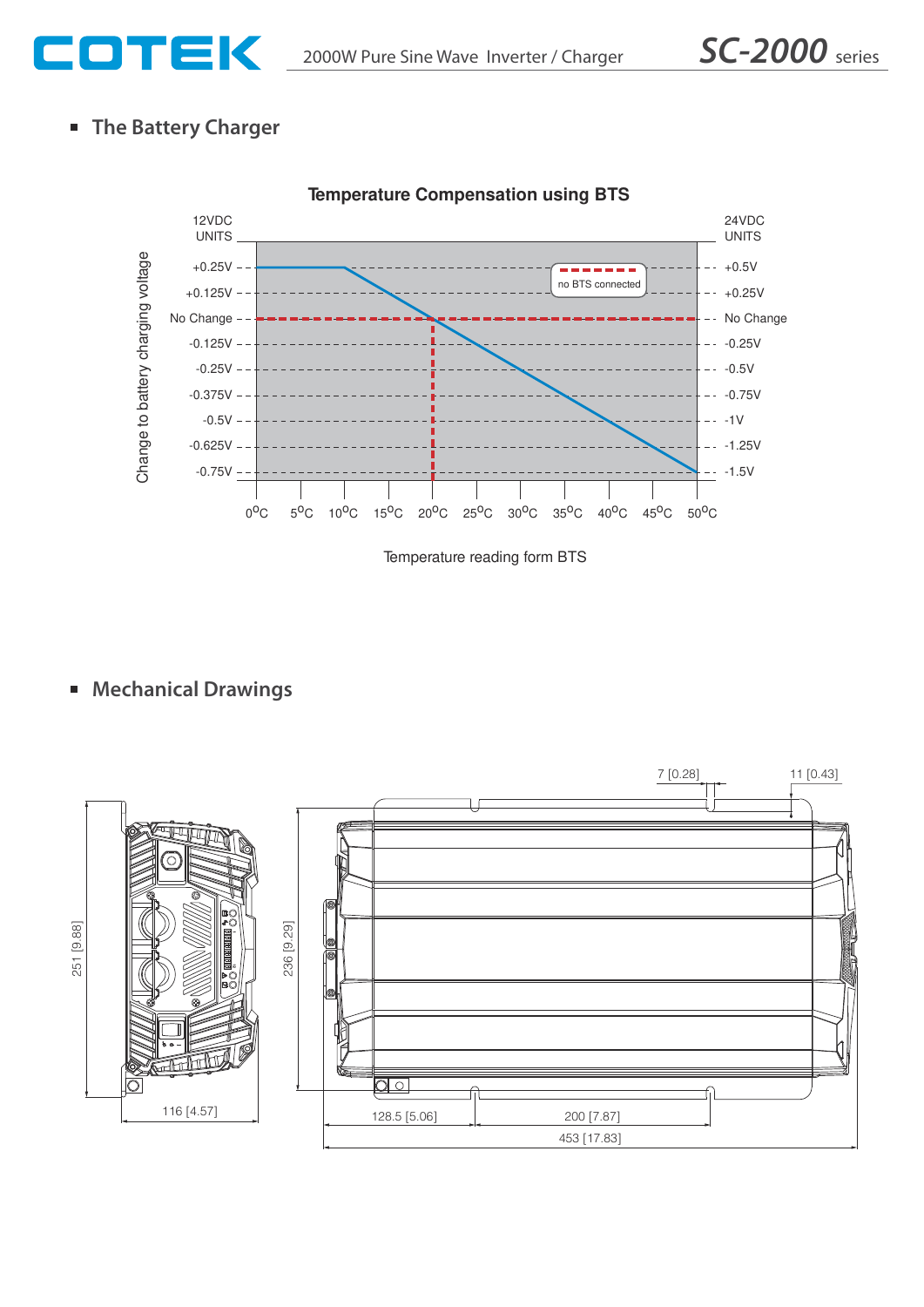

# **The Battery Charger**



Temperature reading form BTS

# **Mechanical Drawings**

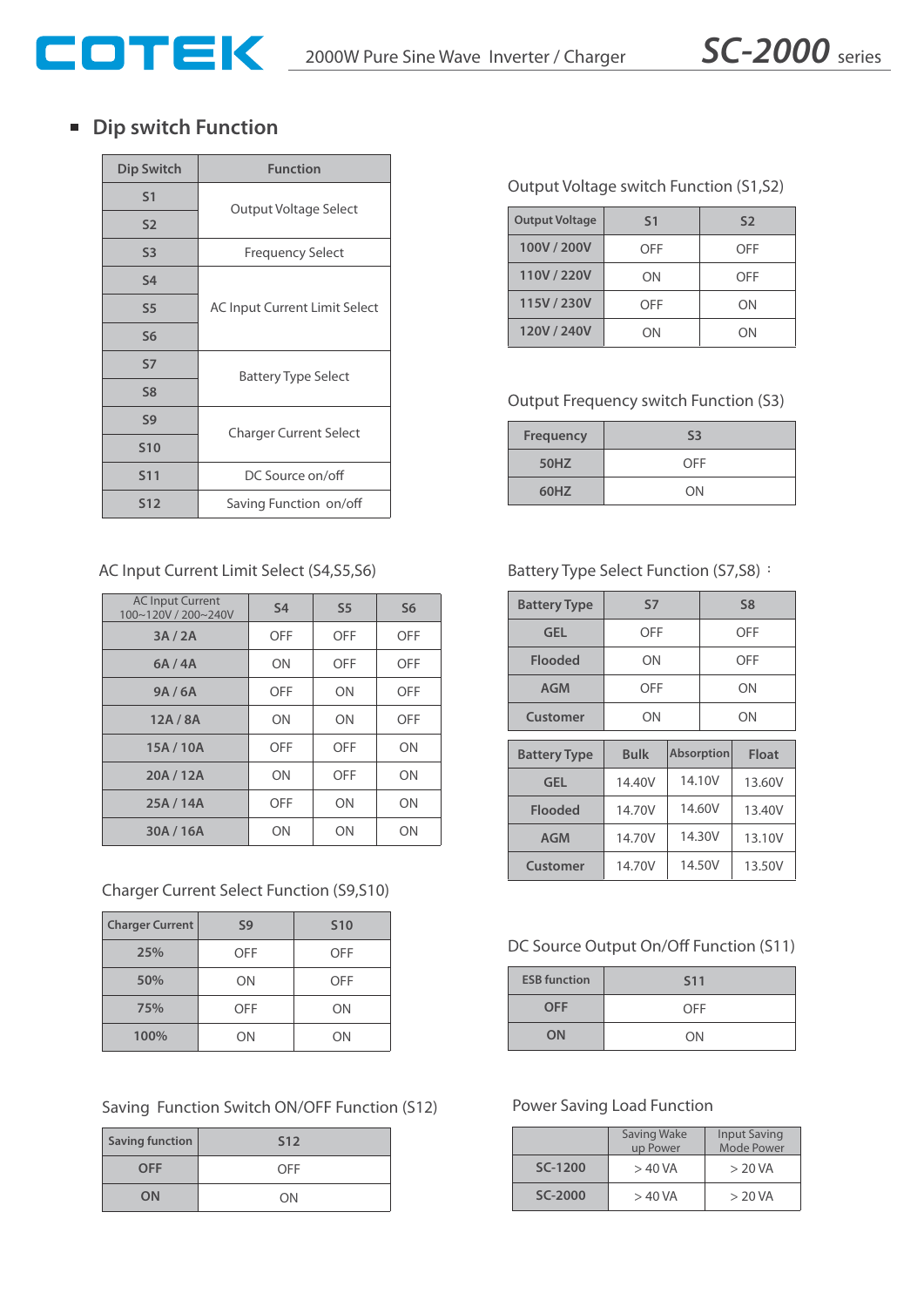

## **Dip switch Function**

| <b>Dip Switch</b> | <b>Function</b>               |  |
|-------------------|-------------------------------|--|
| S <sub>1</sub>    | Output Voltage Select         |  |
| S <sub>2</sub>    |                               |  |
| S <sub>3</sub>    | <b>Frequency Select</b>       |  |
| <b>S4</b>         |                               |  |
| S <sub>5</sub>    | AC Input Current Limit Select |  |
| S <sub>6</sub>    |                               |  |
| <b>S7</b>         | <b>Battery Type Select</b>    |  |
| S <sub>8</sub>    |                               |  |
| S <sub>9</sub>    | <b>Charger Current Select</b> |  |
| <b>S10</b>        |                               |  |
| <b>S11</b>        | DC Source on/off              |  |
| <b>S12</b>        | Saving Function on/off        |  |

## AC Input Current Limit Select (S4,S5,S6)

| <b>AC Input Current</b><br>100~120V / 200~240V | <b>S4</b>  | S <sub>5</sub> | S <sub>6</sub> |
|------------------------------------------------|------------|----------------|----------------|
| 3A/2A                                          | <b>OFF</b> | OFF            | <b>OFF</b>     |
| 6A/4A                                          | ON         | OFF            | OFF            |
| 9A/6A                                          | <b>OFF</b> | ON             | OFF            |
| 12A/8A                                         | ON         | ON             | <b>OFF</b>     |
| 15A / 10A                                      | <b>OFF</b> | OFF            | ON             |
| 20A / 12A                                      | ON         | OFF            | ON             |
| 25A / 14A                                      | OFF        | ON             | ON             |
| 30A / 16A                                      | ON         | ON             | ON             |

## Charger Current Select Function (S9,S10)

| <b>Charger Current</b> | S <sub>9</sub> | <b>S10</b> |
|------------------------|----------------|------------|
| 25%                    | OFF            | OFF        |
| 50%                    | ΟN             | OFF        |
| 75%                    | OFF            | ON         |
| 100%                   | ΟN             | ΟN         |

## Saving Function Switch ON/OFF Function (S12)

| <b>Saving function</b> | S <sub>12</sub> |
|------------------------|-----------------|
| <b>OFF</b>             | OFF             |
| ON                     | ON              |

#### Output Voltage switch Function (S1,S2)

| <b>Output Voltage</b> | S <sub>1</sub> | S <sub>2</sub> |
|-----------------------|----------------|----------------|
| 100V / 200V           | OFF            | OFF            |
| 110V / 220V           | ON             | OFF            |
| 115V / 230V           | OFF            | ON             |
| 120V / 240V           | OΝ             | ON             |

## Output Frequency switch Function (S3)

| <b>Frequency</b> | S <sub>3</sub> |
|------------------|----------------|
| <b>50HZ</b>      | OFF            |
| 60HZ             | ON             |

#### Battery Type Select Function (S7,S8):

| <b>Battery Type</b> | S7          |                   | S <sub>8</sub> |        |
|---------------------|-------------|-------------------|----------------|--------|
| <b>GEL</b>          | OFF         |                   | OFF            |        |
| Flooded             | ΟN          |                   | OFF            |        |
| <b>AGM</b>          | OFF         |                   | ΟN             |        |
| <b>Customer</b>     | ΟN          |                   | ON             |        |
|                     |             |                   |                |        |
| <b>Battery Type</b> | <b>Bulk</b> | <b>Absorption</b> |                | Float  |
| <b>GEL</b>          | 14.40V      |                   | 14.10V         | 13.60V |
| <b>Flooded</b>      | 14.70V      |                   | 14.60V         | 13.40V |
| <b>AGM</b>          | 14.70V      |                   | 14.30V         | 13.10V |

#### DC Source Output On/Off Function (S11)

| <b>ESB</b> function | <b>S11</b> |
|---------------------|------------|
| <b>OFF</b>          | <b>OFF</b> |
| ON                  | ON         |

#### Power Saving Load Function

|         | Saving Wake<br>up Power | <b>Input Saving</b><br>Mode Power |  |
|---------|-------------------------|-----------------------------------|--|
| SC-1200 | $>40$ VA                | > 20 VA                           |  |
| SC-2000 | $>40$ VA                | > 20 VA                           |  |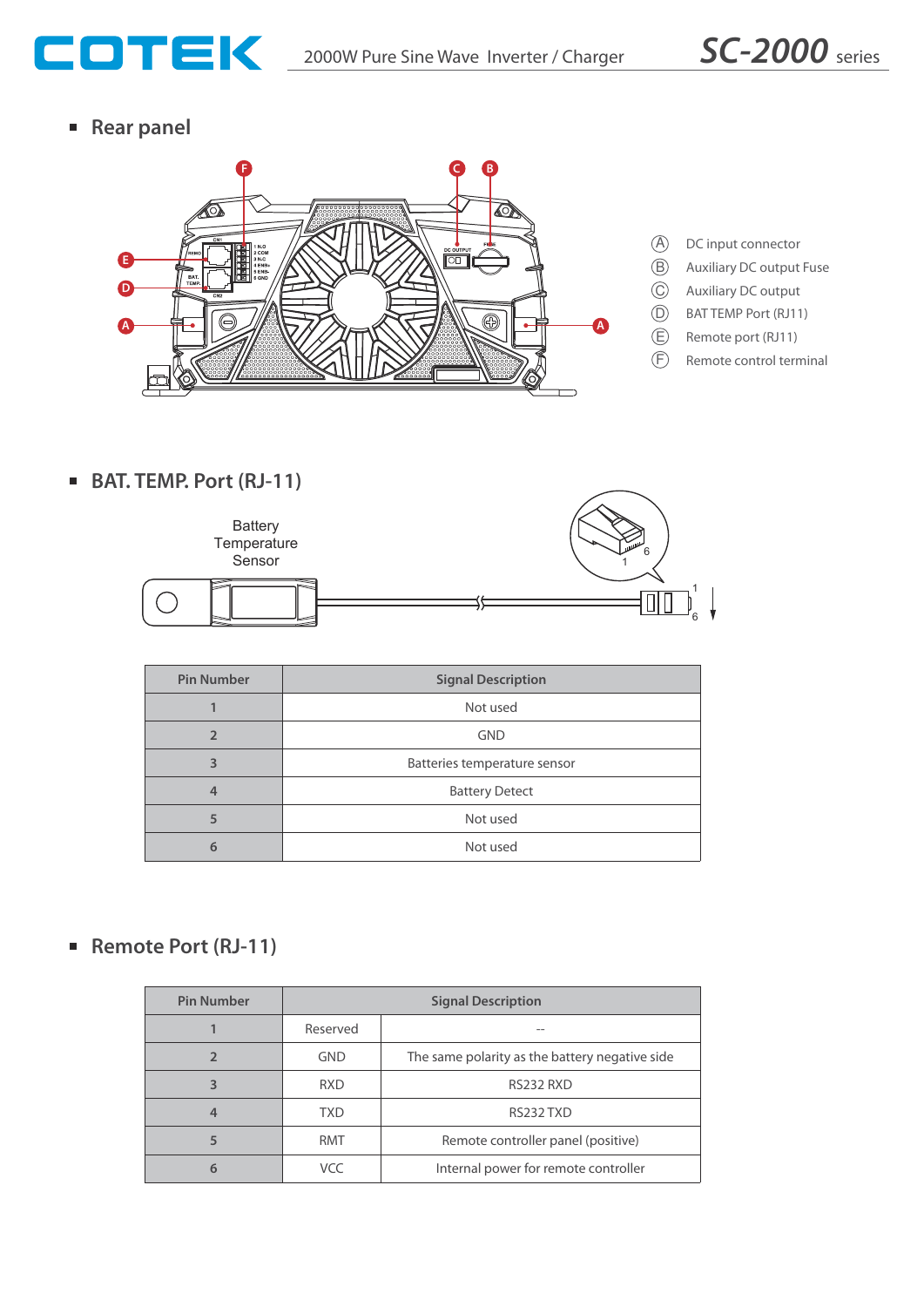

**Rear panel**



**BAT. TEMP. Port (RJ-11)**



| <b>Pin Number</b> | <b>Signal Description</b>    |  |  |
|-------------------|------------------------------|--|--|
|                   | Not used                     |  |  |
| $\overline{ }$    | <b>GND</b>                   |  |  |
| 3                 | Batteries temperature sensor |  |  |
|                   | <b>Battery Detect</b>        |  |  |
| 5                 | Not used                     |  |  |
| 6                 | Not used                     |  |  |

# ■ Remote Port (RJ-11)

| <b>Pin Number</b> | <b>Signal Description</b> |                                                |  |
|-------------------|---------------------------|------------------------------------------------|--|
|                   | Reserved                  |                                                |  |
|                   | <b>GND</b>                | The same polarity as the battery negative side |  |
|                   | <b>RXD</b>                | RS232 RXD                                      |  |
|                   | TXD                       | RS232 TXD                                      |  |
|                   | <b>RMT</b>                | Remote controller panel (positive)             |  |
|                   | VCC                       | Internal power for remote controller           |  |